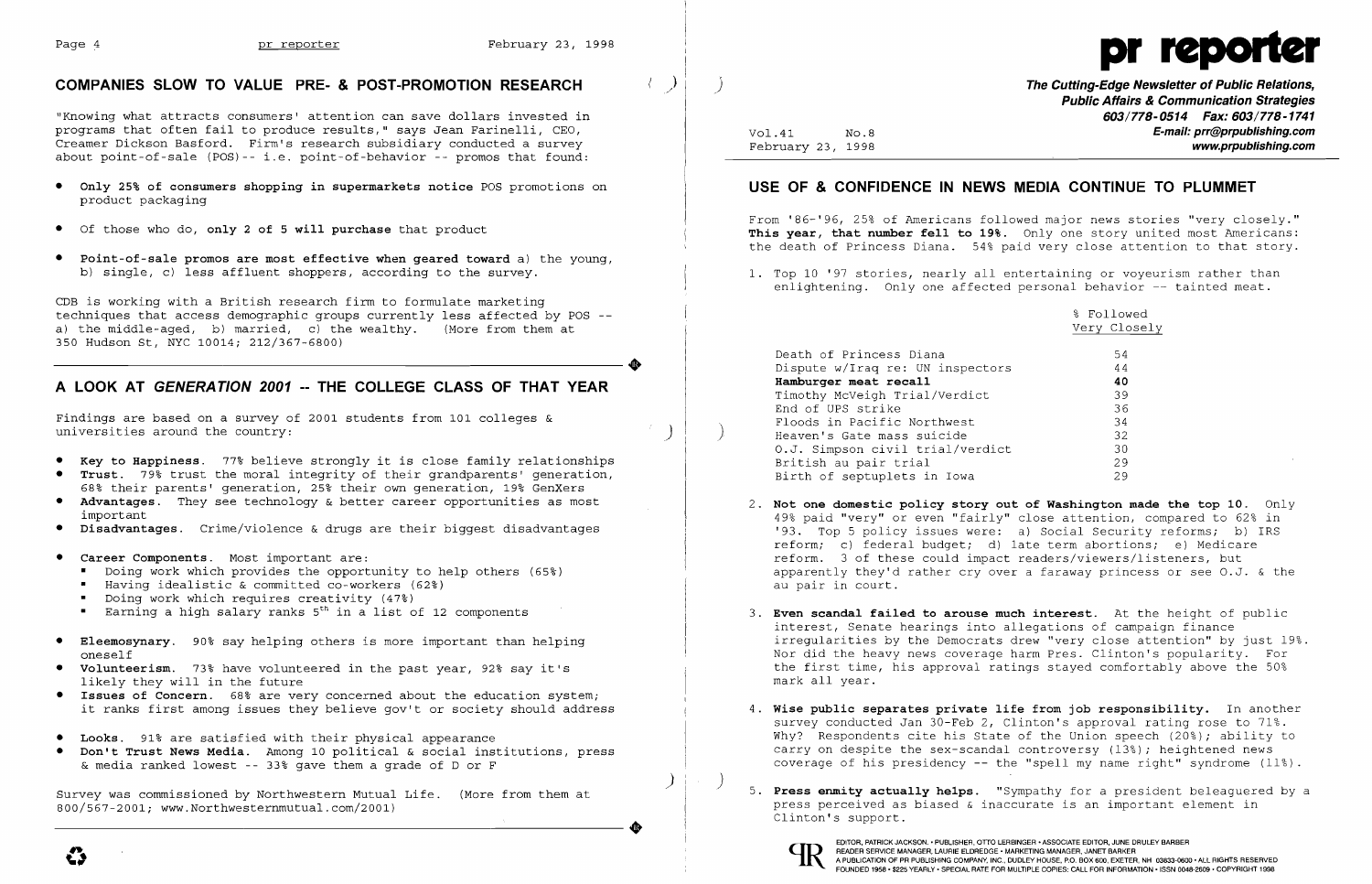I

 $\vert \quad$  )



### **COMPANIES SLOW TO VALUE PRE- & POST-PROMOTION RESEARCH**

"Knowing what attracts consumers' attention can save dollars invested in programs that often fail to produce results," says Jean Farinelli, CEO, Creamer Dickson Basford. Firm's research subsidiary conducted a survey about point-of-sale (POS)-- i.e. point-of-behavior -- promos that found:

- **• Only 25% of consumers shopping in supermarkets notice** POS promotions on product packaging
- • Of those who do, **only 2 of 5 will purchase** that product
- **• Point-of-sale promos are most effective when geared toward** a) the young, b) single, c) less affluent shoppers, according to the survey.

CDB is working with a British research firm to formulate marketing techniques that access demographic groups currently less affected by POS a) the middle-aged, b) married, c) the wealthy. (More from them at 350 Hudson St, NYC 10014; 212/367-6800) 350 Hudson St, NYC 10014; 212/367-6800)

# **A LOOK AT GENERA TION 2001 -- THE COLLEGE CLASS OF THAT YEAR**

Findings are based on a survey of 2001 students from 101 colleges & universities around the country:

Survey was commissioned by Northwestern Mutual Life. (More from them at<br>800/567-2001; www.Northwesternmutual.com/2001) 800/567-2001; www.Northwesternmutual.com/2001)

- **• Key to Happiness.** 77~ believe strongly it is close family relationships
- **• Trust.** 79% trust the moral integrity of their grandparents' generation, 68% their parents' generation, 25% their own generation, 19% GenXers
- **• Advantages.** They see technology & better career opportunities as most important
- **• Disadvantages.** Crime/violence & drugs are their biggest disadvantages
- **• Career Components.** Most important are:
	- • Doing work which provides the opportunity to help others (65~)
	- • Having idealistic & committed co-workers (62%)
	- • Doing work which requires creativity (47%)
	- Earning a high salary ranks  $5^{th}$  in a list of 12 components
- **• Eleemosynary.** 90% say helping others is more important than helping oneself
- **• volunteerism.** 73~ have volunteered in the past year, 92% say it's likely they will in the future
- **• Issues of Concern.** 68% are very concerned about the education system; it ranks first among issues they believe gov't or society should address
- **• Looks.** 91% are satisfied with their physical appearance
- **• Don't Trust News Media.** Among 10 political & social institutions, press & media ranked lowest -- 33% gave them a grade of D or F

**Wise public separates private life from job responsibility.** In another 4. survey conducted Jan 30-Feb 2, Clinton's approval rating rose to 71%. Why? Respondents cite his State of the Union speech (20%); ability to carry on despite the sex-scandal controversy (13%); heightened news coverage of his presidency  $-$  the "spell my name right" syndrome  $(11\%)$ .



) ./

Vol.41 February 23, 1998 NO.8 **The Cutting-Edge Newsletter of Public Relations, Public Affairs & Communication Strategies 603/778-0514 Fax: 603/778-1741 E-mail: prr@prpublishing.com www.prpublishing.com** 

# **USE OF & CONFIDENCE IN NEWS MEDIA CONTINUE TO PLUMMET**

From '86-'96, 25% of Americans followed major news stories "very closely." **This year, that number fell to 19%.** Only one story united most Americans: the death of Princess Diana. 54% paid very close attention to that story.

1. Top 10 '97 stories, nearly all entertaining or voyeurism rather than enlightening. Only one affected personal behavior - tainted meat.

) )

 $)$   $\vert \cdot \vert$ 

Death of Princess Diana Dispute w/Iraq re: UN inspectors **Hamburger meat recall**  Timothy McVeigh Trial/Verdict End of UPS strike Floods in Pacific Northwest Heaven's Gate mass suicide O.J. Simpson civil trial/verdict British au pair trial Birth of septuplets in Iowa

49% paid "very" or even "fairly" close attention, compared to 62% in '93. Top 5 policy issues were: a) Social Security reforms; b) IRS reform; c) federal budget; d) late term abortions; e) Medicare apparently they'd rather cry over a faraway princess or see O.J. & the

3. **Even scandal failed to arouse much interest.** At the height of public irregularities by the Democrats drew "very close attention" by just 19%. Nor did the heavy news coverage harm Pres. Clinton's popularity. For the first time, his approval ratings stayed comfortably above the 50%

- 2. **Not one domestic policy story out of Washington made the top 10.** Only reform. 3 of these could impact readers/viewers/listeners, but au pair in court.
- interest, Senate hearings into allegations of campaign finance mark all year.
- 
- 5. **Press enmity actually helps.** "Sympathy for a president beleaguered by a press perceived as biased & inaccurate is an important element in Clinton's support.